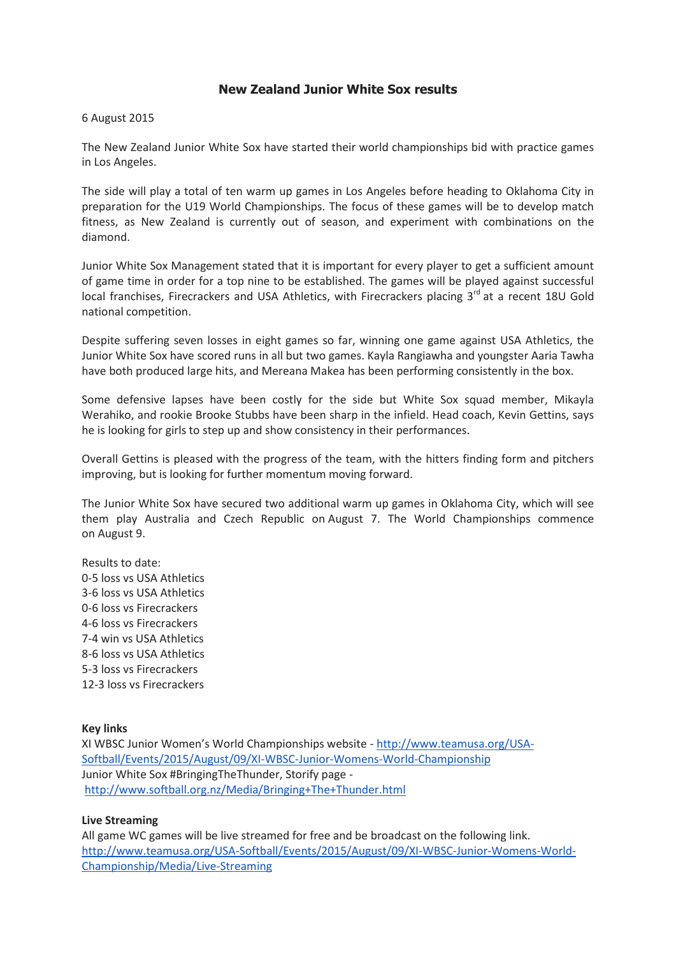## **New Zealand Junior White Sox results**

## 6 August 2015

The New Zealand Junior White Sox have started their world championships bid with practice games in Los Angeles.

The side will play a total of ten warm up games in Los Angeles before heading to Oklahoma City in preparation for the U19 World Championships. The focus of these games will be to develop match fitness, as New Zealand is currently out of season, and experiment with combinations on the diamond.

Junior White Sox Management stated that it is important for every player to get a sufficient amount of game time in order for a top nine to be established. The games will be played against successful local franchises, Firecrackers and USA Athletics, with Firecrackers placing 3<sup>rd</sup> at a recent 18U Gold national competition.

Despite suffering seven losses in eight games so far, winning one game against USA Athletics, the Junior White Sox have scored runs in all but two games. Kayla Rangiawha and youngster Aaria Tawha have both produced large hits, and Mereana Makea has been performing consistently in the box.

Some defensive lapses have been costly for the side but White Sox squad member, Mikayla Werahiko, and rookie Brooke Stubbs have been sharp in the infield. Head coach, Kevin Gettins, says he is looking for girls to step up and show consistency in their performances.

Overall Gettins is pleased with the progress of the team, with the hitters finding form and pitchers improving, but is looking for further momentum moving forward.

The Junior White Sox have secured two additional warm up games in Oklahoma City, which will see them play Australia and Czech Republic on August 7. The World Championships commence on August 9.

Results to date: 0-5 loss vs USA Athletics 3-6 loss vs USA Athletics 0-6 loss vs Firecrackers 4-6 loss vs Firecrackers 7-4 win vs USA Athletics 8-6 loss vs USA Athletics 5-3 loss vs Firecrackers 12-3 loss vs Firecrackers

## **Key links**

XI WBSC Junior Women's World Championships website - [http://www.teamusa.org/USA-](http://www.teamusa.org/USA-Softball/Events/2015/August/09/XI-WBSC-Junior-Womens-World-Championship)[Softball/Events/2015/August/09/XI-WBSC-Junior-Womens-World-Championship](http://www.teamusa.org/USA-Softball/Events/2015/August/09/XI-WBSC-Junior-Womens-World-Championship) Junior White Sox #BringingTheThunder, Storify page <http://www.softball.org.nz/Media/Bringing+The+Thunder.html>

## **Live Streaming**

All game WC games will be live streamed for free and be broadcast on the following link. [http://www.teamusa.org/USA-Softball/Events/2015/August/09/XI-WBSC-Junior-Womens-World-](http://www.teamusa.org/USA-Softball/Events/2015/August/09/XI-WBSC-Junior-Womens-World-Championship/Media/Live-Streaming)[Championship/Media/Live-Streaming](http://www.teamusa.org/USA-Softball/Events/2015/August/09/XI-WBSC-Junior-Womens-World-Championship/Media/Live-Streaming)